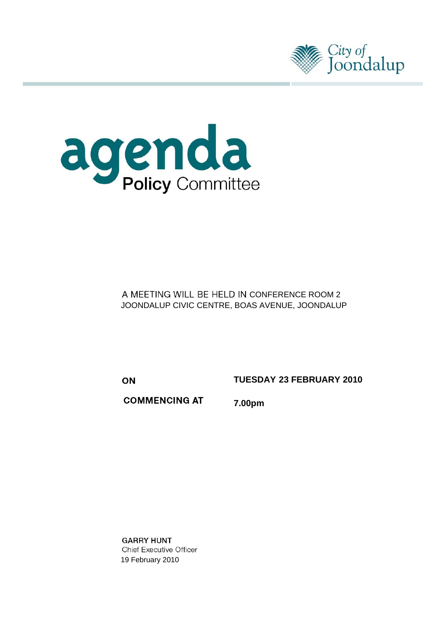



A MEETING WILL BE HELD IN CONFERENCE ROOM 2 JOONDALUP CIVIC CENTRE, BOAS AVENUE, JOONDALUP

ON

**TUESDAY 23 FEBRUARY 2010** 

**COMMENCING AT** 7.00pm

**GARRY HUNT Chief Executive Officer** 19 February 2010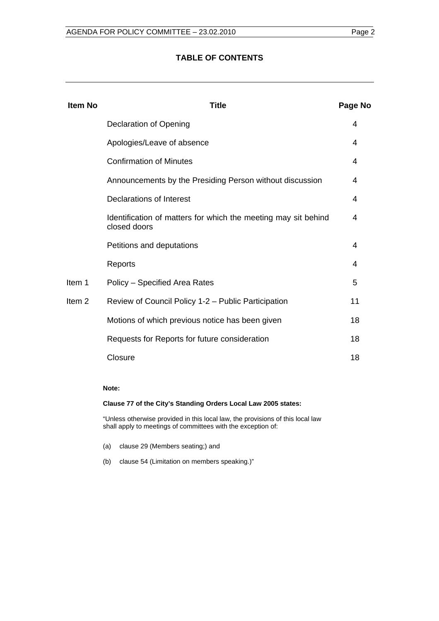#### **TABLE OF CONTENTS**

| <b>Item No</b>    | Title                                                                          | Page No |
|-------------------|--------------------------------------------------------------------------------|---------|
|                   | Declaration of Opening                                                         | 4       |
|                   | Apologies/Leave of absence                                                     | 4       |
|                   | <b>Confirmation of Minutes</b>                                                 | 4       |
|                   | Announcements by the Presiding Person without discussion                       | 4       |
|                   | Declarations of Interest                                                       | 4       |
|                   | Identification of matters for which the meeting may sit behind<br>closed doors | 4       |
|                   | Petitions and deputations                                                      | 4       |
|                   | Reports                                                                        | 4       |
| Item 1            | Policy - Specified Area Rates                                                  | 5       |
| Item <sub>2</sub> | Review of Council Policy 1-2 – Public Participation                            | 11      |
|                   | Motions of which previous notice has been given                                | 18      |
|                   | Requests for Reports for future consideration                                  | 18      |
|                   | Closure                                                                        | 18      |

#### **Note:**

#### **Clause 77 of the City's Standing Orders Local Law 2005 states:**

"Unless otherwise provided in this local law, the provisions of this local law shall apply to meetings of committees with the exception of:

- (a) clause 29 (Members seating;) and
- (b) clause 54 (Limitation on members speaking.)"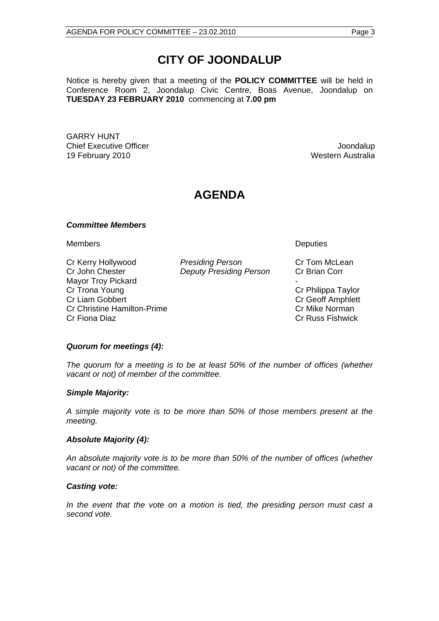# **CITY OF JOONDALUP**

Notice is hereby given that a meeting of the **POLICY COMMITTEE** will be held in Conference Room 2, Joondalup Civic Centre, Boas Avenue, Joondalup on **TUESDAY 23 FEBRUARY 2010** commencing at **7.00 pm** 

GARRY HUNT **Chief Executive Officer Joseph According to the Chief Executive Officer Joseph According to the Chief According to the United States of the Chief According to the United States of the United States of the United States of** 19 February 2010 **Western Australia** 

## **AGENDA**

#### *Committee Members*

Members Deputies

Cr Kerry Hollywood *Presiding Person* Cr Tom McLean Cr John Chester *Deputy Presiding Person* Cr Brian Corr Mayor Troy Pickard Cr Trona Young **Cr Philippa Taylor Cr Liam Gobbert** Cr Geoff Amphlett Cr Christine Hamilton-Prime Cr Mike Norman Cr Fiona Diaz Cr Russ Fishwick

#### *Quorum for meetings (4):*

*The quorum for a meeting is to be at least 50% of the number of offices (whether vacant or not) of member of the committee.* 

#### *Simple Majority:*

*A simple majority vote is to be more than 50% of those members present at the meeting.* 

#### *Absolute Majority (4):*

*An absolute majority vote is to be more than 50% of the number of offices (whether vacant or not) of the committee.* 

#### *Casting vote:*

*In the event that the vote on a motion is tied, the presiding person must cast a second vote.*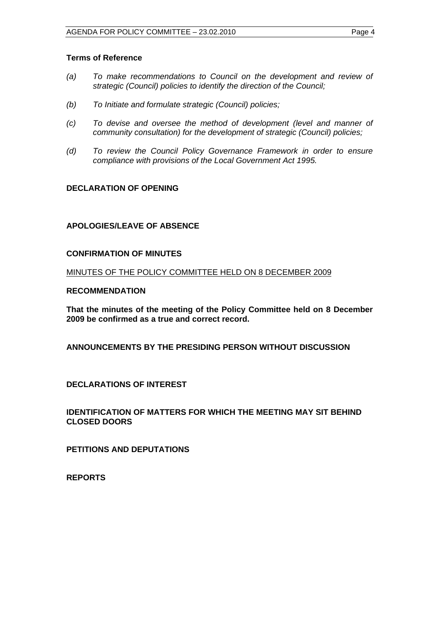#### <span id="page-3-0"></span>**Terms of Reference**

- *(a) To make recommendations to Council on the development and review of strategic (Council) policies to identify the direction of the Council;*
- *(b) To Initiate and formulate strategic (Council) policies;*
- *(c) To devise and oversee the method of development (level and manner of community consultation) for the development of strategic (Council) policies;*
- *(d) To review the Council Policy Governance Framework in order to ensure compliance with provisions of the Local Government Act 1995.*

#### **DECLARATION OF OPENING**

#### **APOLOGIES/LEAVE OF ABSENCE**

#### **CONFIRMATION OF MINUTES**

MINUTES OF THE POLICY COMMITTEE HELD ON 8 DECEMBER 2009

#### **RECOMMENDATION**

**That the minutes of the meeting of the Policy Committee held on 8 December 2009 be confirmed as a true and correct record.** 

**ANNOUNCEMENTS BY THE PRESIDING PERSON WITHOUT DISCUSSION** 

**DECLARATIONS OF INTEREST** 

**IDENTIFICATION OF MATTERS FOR WHICH THE MEETING MAY SIT BEHIND CLOSED DOORS** 

**PETITIONS AND DEPUTATIONS** 

**REPORTS**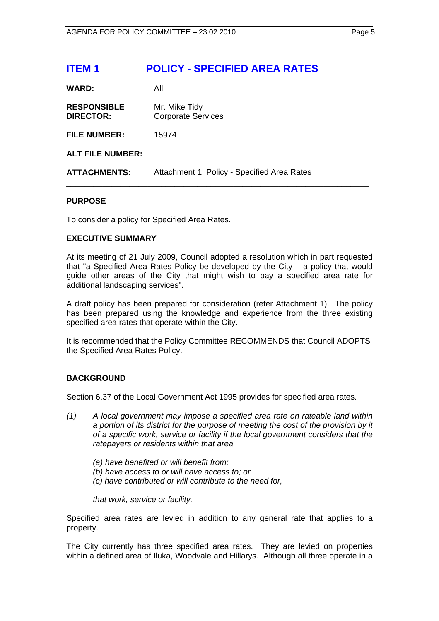## <span id="page-4-0"></span>**ITEM 1 POLICY - SPECIFIED AREA RATES**

**WARD:** All

| <b>RESPONSIBLE</b> | Mr. Mike Tidy             |
|--------------------|---------------------------|
| <b>DIRECTOR:</b>   | <b>Corporate Services</b> |

**FILE NUMBER:** 15974

#### **ALT FILE NUMBER:**

**ATTACHMENTS:** Attachment 1: Policy - Specified Area Rates

#### **PURPOSE**

To consider a policy for Specified Area Rates.

#### **EXECUTIVE SUMMARY**

At its meeting of 21 July 2009, Council adopted a resolution which in part requested that "a Specified Area Rates Policy be developed by the City – a policy that would guide other areas of the City that might wish to pay a specified area rate for additional landscaping services".

\_\_\_\_\_\_\_\_\_\_\_\_\_\_\_\_\_\_\_\_\_\_\_\_\_\_\_\_\_\_\_\_\_\_\_\_\_\_\_\_\_\_\_\_\_\_\_\_\_\_\_\_\_\_\_\_\_\_\_\_\_\_\_\_\_\_\_

A draft policy has been prepared for consideration (refer Attachment 1). The policy has been prepared using the knowledge and experience from the three existing specified area rates that operate within the City.

It is recommended that the Policy Committee RECOMMENDS that Council ADOPTS the Specified Area Rates Policy.

#### **BACKGROUND**

Section 6.37 of the Local Government Act 1995 provides for specified area rates.

- *(1) A local government may impose a specified area rate on rateable land within a portion of its district for the purpose of meeting the cost of the provision by it of a specific work, service or facility if the local government considers that the ratepayers or residents within that area* 
	- *(a) have benefited or will benefit from;*
	- *(b) have access to or will have access to; or*
	- *(c) have contributed or will contribute to the need for,*

*that work, service or facility.* 

Specified area rates are levied in addition to any general rate that applies to a property.

The City currently has three specified area rates. They are levied on properties within a defined area of Iluka, Woodvale and Hillarys. Although all three operate in a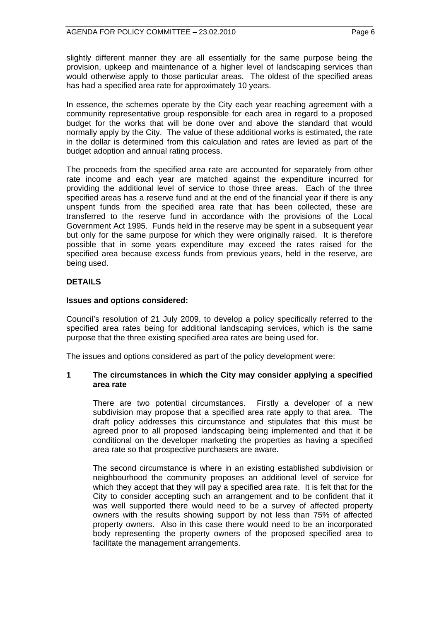slightly different manner they are all essentially for the same purpose being the provision, upkeep and maintenance of a higher level of landscaping services than would otherwise apply to those particular areas. The oldest of the specified areas has had a specified area rate for approximately 10 years.

In essence, the schemes operate by the City each year reaching agreement with a community representative group responsible for each area in regard to a proposed budget for the works that will be done over and above the standard that would normally apply by the City. The value of these additional works is estimated, the rate in the dollar is determined from this calculation and rates are levied as part of the budget adoption and annual rating process.

The proceeds from the specified area rate are accounted for separately from other rate income and each year are matched against the expenditure incurred for providing the additional level of service to those three areas. Each of the three specified areas has a reserve fund and at the end of the financial year if there is any unspent funds from the specified area rate that has been collected, these are transferred to the reserve fund in accordance with the provisions of the Local Government Act 1995. Funds held in the reserve may be spent in a subsequent year but only for the same purpose for which they were originally raised. It is therefore possible that in some years expenditure may exceed the rates raised for the specified area because excess funds from previous years, held in the reserve, are being used.

#### **DETAILS**

#### **Issues and options considered:**

Council's resolution of 21 July 2009, to develop a policy specifically referred to the specified area rates being for additional landscaping services, which is the same purpose that the three existing specified area rates are being used for.

The issues and options considered as part of the policy development were:

#### **1 The circumstances in which the City may consider applying a specified area rate**

There are two potential circumstances. Firstly a developer of a new subdivision may propose that a specified area rate apply to that area. The draft policy addresses this circumstance and stipulates that this must be agreed prior to all proposed landscaping being implemented and that it be conditional on the developer marketing the properties as having a specified area rate so that prospective purchasers are aware.

The second circumstance is where in an existing established subdivision or neighbourhood the community proposes an additional level of service for which they accept that they will pay a specified area rate. It is felt that for the City to consider accepting such an arrangement and to be confident that it was well supported there would need to be a survey of affected property owners with the results showing support by not less than 75% of affected property owners. Also in this case there would need to be an incorporated body representing the property owners of the proposed specified area to facilitate the management arrangements.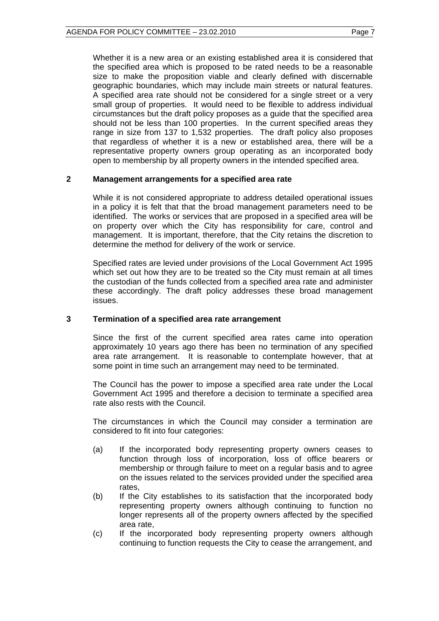Whether it is a new area or an existing established area it is considered that the specified area which is proposed to be rated needs to be a reasonable size to make the proposition viable and clearly defined with discernable geographic boundaries, which may include main streets or natural features. A specified area rate should not be considered for a single street or a very small group of properties. It would need to be flexible to address individual circumstances but the draft policy proposes as a guide that the specified area should not be less than 100 properties. In the current specified areas they range in size from 137 to 1,532 properties. The draft policy also proposes that regardless of whether it is a new or established area, there will be a representative property owners group operating as an incorporated body open to membership by all property owners in the intended specified area.

#### **2 Management arrangements for a specified area rate**

While it is not considered appropriate to address detailed operational issues in a policy it is felt that that the broad management parameters need to be identified. The works or services that are proposed in a specified area will be on property over which the City has responsibility for care, control and management. It is important, therefore, that the City retains the discretion to determine the method for delivery of the work or service.

Specified rates are levied under provisions of the Local Government Act 1995 which set out how they are to be treated so the City must remain at all times the custodian of the funds collected from a specified area rate and administer these accordingly. The draft policy addresses these broad management issues.

#### **3 Termination of a specified area rate arrangement**

Since the first of the current specified area rates came into operation approximately 10 years ago there has been no termination of any specified area rate arrangement. It is reasonable to contemplate however, that at some point in time such an arrangement may need to be terminated.

The Council has the power to impose a specified area rate under the Local Government Act 1995 and therefore a decision to terminate a specified area rate also rests with the Council.

The circumstances in which the Council may consider a termination are considered to fit into four categories:

- (a) If the incorporated body representing property owners ceases to function through loss of incorporation, loss of office bearers or membership or through failure to meet on a regular basis and to agree on the issues related to the services provided under the specified area rates,
- (b) If the City establishes to its satisfaction that the incorporated body representing property owners although continuing to function no longer represents all of the property owners affected by the specified area rate,
- (c) If the incorporated body representing property owners although continuing to function requests the City to cease the arrangement, and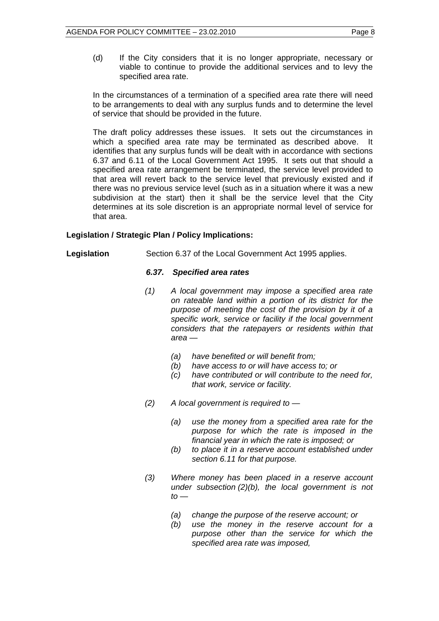(d) If the City considers that it is no longer appropriate, necessary or viable to continue to provide the additional services and to levy the specified area rate.

In the circumstances of a termination of a specified area rate there will need to be arrangements to deal with any surplus funds and to determine the level of service that should be provided in the future.

The draft policy addresses these issues. It sets out the circumstances in which a specified area rate may be terminated as described above. It identifies that any surplus funds will be dealt with in accordance with sections 6.37 and 6.11 of the Local Government Act 1995. It sets out that should a specified area rate arrangement be terminated, the service level provided to that area will revert back to the service level that previously existed and if there was no previous service level (such as in a situation where it was a new subdivision at the start) then it shall be the service level that the City determines at its sole discretion is an appropriate normal level of service for that area.

#### **Legislation / Strategic Plan / Policy Implications:**

Legislation Section 6.37 of the Local Government Act 1995 applies.

#### *6.37. Specified area rates*

- *(1) A local government may impose a specified area rate on rateable land within a portion of its district for the purpose of meeting the cost of the provision by it of a specific work, service or facility if the local government considers that the ratepayers or residents within that area —* 
	- *(a) have benefited or will benefit from;*
	- *(b) have access to or will have access to; or*
	- *(c) have contributed or will contribute to the need for, that work, service or facility.*
- *(2) A local government is required to* 
	- *(a) use the money from a specified area rate for the purpose for which the rate is imposed in the financial year in which the rate is imposed; or*
	- *(b) to place it in a reserve account established under section 6.11 for that purpose.*
- *(3) Where money has been placed in a reserve account under subsection (2)(b), the local government is not*   $to -$ 
	- *(a) change the purpose of the reserve account; or*
	- *(b) use the money in the reserve account for a purpose other than the service for which the specified area rate was imposed,*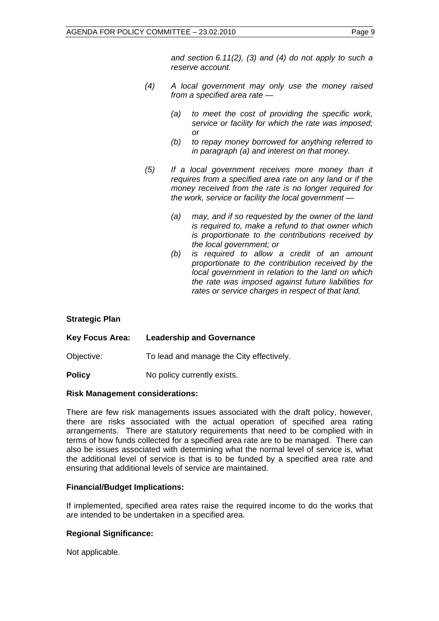*and section 6.11(2), (3) and (4) do not apply to such a reserve account.* 

- *(4) A local government may only use the money raised from a specified area rate —* 
	- *(a) to meet the cost of providing the specific work, service or facility for which the rate was imposed; or*
	- *(b) to repay money borrowed for anything referred to in paragraph (a) and interest on that money.*
- *(5) If a local government receives more money than it requires from a specified area rate on any land or if the money received from the rate is no longer required for the work, service or facility the local government —* 
	- *(a) may, and if so requested by the owner of the land is required to, make a refund to that owner which is proportionate to the contributions received by the local government; or*
	- *(b) is required to allow a credit of an amount proportionate to the contribution received by the local government in relation to the land on which the rate was imposed against future liabilities for rates or service charges in respect of that land.*

#### **Strategic Plan**

| <b>Key Focus Area:</b> | <b>Leadership and Governance</b>         |
|------------------------|------------------------------------------|
| Objective:             | To lead and manage the City effectively. |
| <b>Policy</b>          | No policy currently exists.              |

#### **Risk Management considerations:**

There are few risk managements issues associated with the draft policy, however, there are risks associated with the actual operation of specified area rating arrangements. There are statutory requirements that need to be complied with in terms of how funds collected for a specified area rate are to be managed. There can also be issues associated with determining what the normal level of service is, what the additional level of service is that is to be funded by a specified area rate and ensuring that additional levels of service are maintained.

#### **Financial/Budget Implications:**

If implemented, specified area rates raise the required income to do the works that are intended to be undertaken in a specified area.

#### **Regional Significance:**

Not applicable.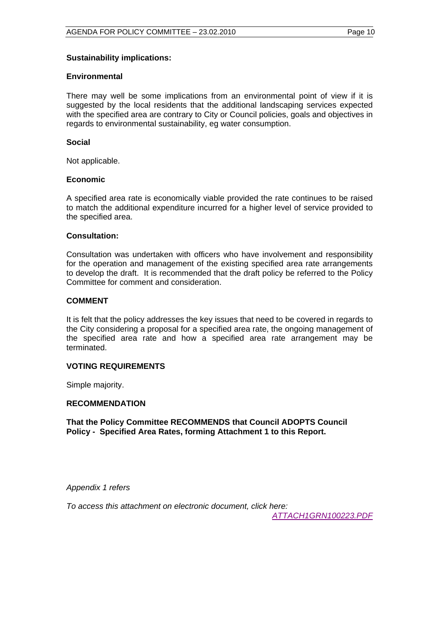#### **Sustainability implications:**

#### **Environmental**

There may well be some implications from an environmental point of view if it is suggested by the local residents that the additional landscaping services expected with the specified area are contrary to City or Council policies, goals and objectives in regards to environmental sustainability, eg water consumption.

#### **Social**

Not applicable.

#### **Economic**

A specified area rate is economically viable provided the rate continues to be raised to match the additional expenditure incurred for a higher level of service provided to the specified area.

#### **Consultation:**

Consultation was undertaken with officers who have involvement and responsibility for the operation and management of the existing specified area rate arrangements to develop the draft. It is recommended that the draft policy be referred to the Policy Committee for comment and consideration.

#### **COMMENT**

It is felt that the policy addresses the key issues that need to be covered in regards to the City considering a proposal for a specified area rate, the ongoing management of the specified area rate and how a specified area rate arrangement may be terminated.

#### **VOTING REQUIREMENTS**

Simple majority.

#### **RECOMMENDATION**

**That the Policy Committee RECOMMENDS that Council ADOPTS Council Policy - Specified Area Rates, forming Attachment 1 to this Report.** 

*Appendix 1 refers* 

*To access this attachment on electronic document, click here:* 

*<ATTACH1GRN100223.PDF>*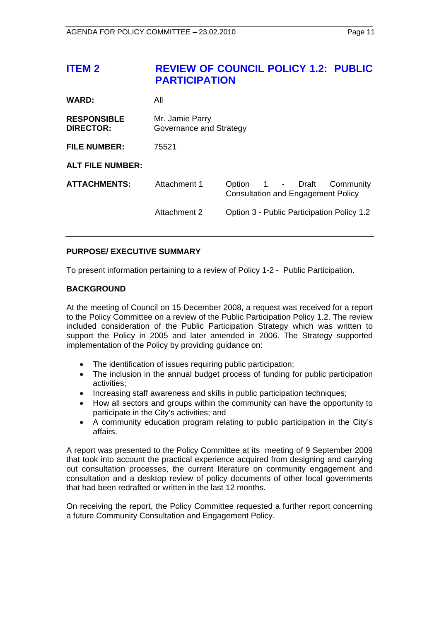## <span id="page-10-0"></span>**ITEM 2 REVIEW OF COUNCIL POLICY 1.2: PUBLIC PARTICIPATION**

| <b>WARD:</b>                           | All                                        |                                                                               |  |
|----------------------------------------|--------------------------------------------|-------------------------------------------------------------------------------|--|
| <b>RESPONSIBLE</b><br><b>DIRECTOR:</b> | Mr. Jamie Parry<br>Governance and Strategy |                                                                               |  |
| <b>FILE NUMBER:</b>                    | 75521                                      |                                                                               |  |
| <b>ALT FILE NUMBER:</b>                |                                            |                                                                               |  |
| <b>ATTACHMENTS:</b>                    | Attachment 1                               | 1 - Draft<br>Option<br>Community<br><b>Consultation and Engagement Policy</b> |  |
|                                        | Attachment 2                               | Option 3 - Public Participation Policy 1.2                                    |  |

### **PURPOSE/ EXECUTIVE SUMMARY**

To present information pertaining to a review of Policy 1-2 - Public Participation.

#### **BACKGROUND**

At the meeting of Council on 15 December 2008, a request was received for a report to the Policy Committee on a review of the Public Participation Policy 1.2. The review included consideration of the Public Participation Strategy which was written to support the Policy in 2005 and later amended in 2006. The Strategy supported implementation of the Policy by providing guidance on:

- The identification of issues requiring public participation;
- The inclusion in the annual budget process of funding for public participation activities;
- Increasing staff awareness and skills in public participation techniques;
- How all sectors and groups within the community can have the opportunity to participate in the City's activities; and
- A community education program relating to public participation in the City's affairs.

A report was presented to the Policy Committee at its meeting of 9 September 2009 that took into account the practical experience acquired from designing and carrying out consultation processes, the current literature on community engagement and consultation and a desktop review of policy documents of other local governments that had been redrafted or written in the last 12 months.

On receiving the report, the Policy Committee requested a further report concerning a future Community Consultation and Engagement Policy.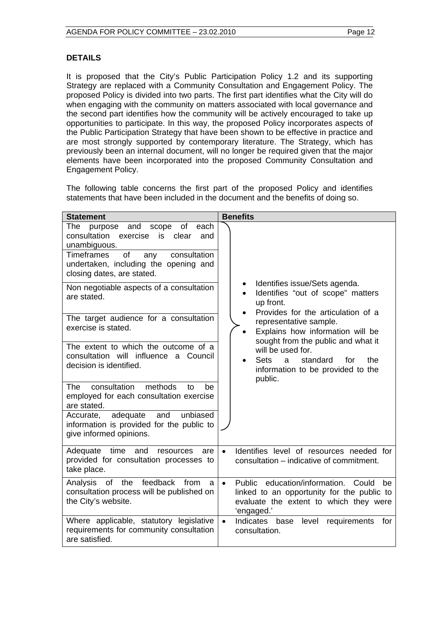#### **DETAILS**

It is proposed that the City's Public Participation Policy 1.2 and its supporting Strategy are replaced with a Community Consultation and Engagement Policy. The proposed Policy is divided into two parts. The first part identifies what the City will do when engaging with the community on matters associated with local governance and the second part identifies how the community will be actively encouraged to take up opportunities to participate. In this way, the proposed Policy incorporates aspects of the Public Participation Strategy that have been shown to be effective in practice and are most strongly supported by contemporary literature. The Strategy, which has previously been an internal document, will no longer be required given that the major elements have been incorporated into the proposed Community Consultation and Engagement Policy.

The following table concerns the first part of the proposed Policy and identifies statements that have been included in the document and the benefits of doing so.

| <b>Statement</b>                                                                                                                                                 | <b>Benefits</b>                                                                                                                                              |  |  |  |
|------------------------------------------------------------------------------------------------------------------------------------------------------------------|--------------------------------------------------------------------------------------------------------------------------------------------------------------|--|--|--|
| and<br>scope<br>of<br>each<br>The<br>purpose<br>consultation<br>exercise<br>is<br>clear<br>and<br>unambiguous.<br><b>Timeframes</b><br>of<br>consultation<br>any |                                                                                                                                                              |  |  |  |
| undertaken, including the opening and<br>closing dates, are stated.                                                                                              |                                                                                                                                                              |  |  |  |
| Non negotiable aspects of a consultation<br>are stated.                                                                                                          | Identifies issue/Sets agenda.<br>Identifies "out of scope" matters<br>$\bullet$<br>up front.<br>Provides for the articulation of a                           |  |  |  |
| The target audience for a consultation<br>exercise is stated.                                                                                                    | representative sample.<br>Explains how information will be<br>$\bullet$<br>sought from the public and what it                                                |  |  |  |
| The extent to which the outcome of a<br>consultation will influence a Council<br>decision is identified.                                                         | will be used for.<br><b>Sets</b><br>standard<br>for<br>the<br><sub>a</sub><br>$\bullet$<br>information to be provided to the<br>public.                      |  |  |  |
| consultation<br>methods<br>The<br>be<br>to<br>employed for each consultation exercise<br>are stated.                                                             |                                                                                                                                                              |  |  |  |
| unbiased<br>adequate<br>and<br>Accurate,<br>information is provided for the public to<br>give informed opinions.                                                 |                                                                                                                                                              |  |  |  |
| Adequate time and<br>resources<br>are<br>provided for consultation processes to<br>take place.                                                                   | Identifies level of resources needed for<br>$\bullet$<br>consultation – indicative of commitment.                                                            |  |  |  |
| Analysis of the feedback<br>from<br>a<br>consultation process will be published on<br>the City's website.                                                        | Public education/information. Could<br>$\bullet$<br>be<br>linked to an opportunity for the public to<br>evaluate the extent to which they were<br>'engaged.' |  |  |  |
| Where applicable, statutory legislative<br>requirements for community consultation<br>are satisfied.                                                             | Indicates<br>level<br>requirements<br>$\bullet$<br>base<br>for<br>consultation.                                                                              |  |  |  |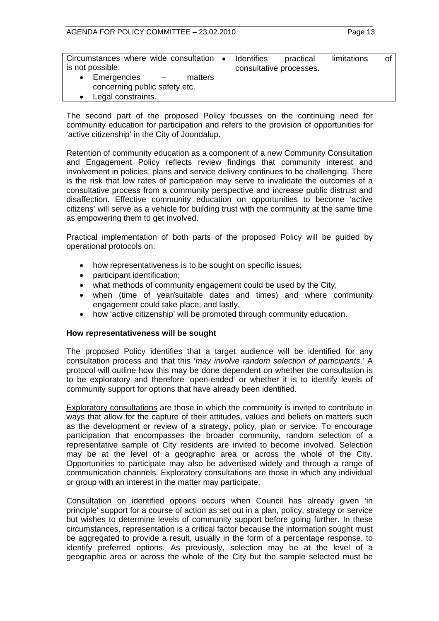| Circumstances where wide consultation   •<br>is not possible:                               | <b>Identifies</b><br>consultative processes. | practical | limitations | Οl |
|---------------------------------------------------------------------------------------------|----------------------------------------------|-----------|-------------|----|
| Emergencies<br>matters<br>$\sim$ $-$<br>concerning public safety etc.<br>Legal constraints. |                                              |           |             |    |

The second part of the proposed Policy focusses on the continuing need for community education for participation and refers to the provision of opportunities for 'active citizenship' in the City of Joondalup.

Retention of community education as a component of a new Community Consultation and Engagement Policy reflects review findings that community interest and involvement in policies, plans and service delivery continues to be challenging. There is the risk that low rates of participation may serve to invalidate the outcomes of a consultative process from a community perspective and increase public distrust and disaffection. Effective community education on opportunities to become 'active citizens' will serve as a vehicle for building trust with the community at the same time as empowering them to get involved.

Practical implementation of both parts of the proposed Policy will be guided by operational protocols on:

- how representativeness is to be sought on specific issues;
- participant identification;
- what methods of community engagement could be used by the City;
- when (time of year/suitable dates and times) and where community engagement could take place; and lastly,
- how 'active citizenship' will be promoted through community education.

#### **How representativeness will be sought**

The proposed Policy identifies that a target audience will be identified for any consultation process and that this '*may involve random selection of participants*.' A protocol will outline how this may be done dependent on whether the consultation is to be exploratory and therefore 'open-ended' or whether it is to identify levels of community support for options that have already been identified.

Exploratory consultations are those in which the community is invited to contribute in ways that allow for the capture of their attitudes, values and beliefs on matters such as the development or review of a strategy, policy, plan or service. To encourage participation that encompasses the broader community, random selection of a representative sample of City residents are invited to become involved. Selection may be at the level of a geographic area or across the whole of the City. Opportunities to participate may also be advertised widely and through a range of communication channels. Exploratory consultations are those in which any individual or group with an interest in the matter may participate.

Consultation on identified options occurs when Council has already given 'in principle' support for a course of action as set out in a plan, policy, strategy or service but wishes to determine levels of community support before going further. In these circumstances, representation is a critical factor because the information sought must be aggregated to provide a result, usually in the form of a percentage response, to identify preferred options. As previously, selection may be at the level of a geographic area or across the whole of the City but the sample selected must be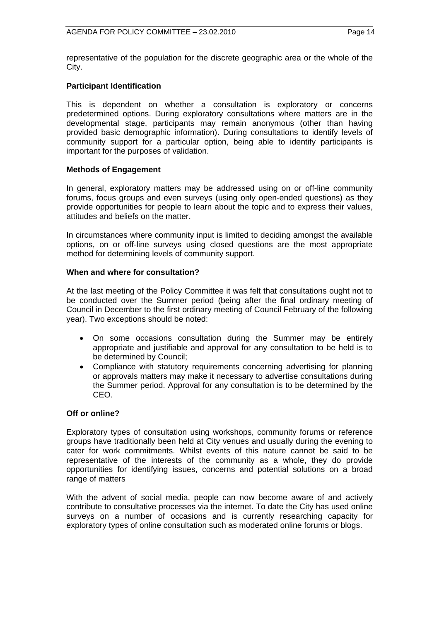representative of the population for the discrete geographic area or the whole of the City.

#### **Participant Identification**

This is dependent on whether a consultation is exploratory or concerns predetermined options. During exploratory consultations where matters are in the developmental stage, participants may remain anonymous (other than having provided basic demographic information). During consultations to identify levels of community support for a particular option, being able to identify participants is important for the purposes of validation.

#### **Methods of Engagement**

In general, exploratory matters may be addressed using on or off-line community forums, focus groups and even surveys (using only open-ended questions) as they provide opportunities for people to learn about the topic and to express their values, attitudes and beliefs on the matter.

In circumstances where community input is limited to deciding amongst the available options, on or off-line surveys using closed questions are the most appropriate method for determining levels of community support.

#### **When and where for consultation?**

At the last meeting of the Policy Committee it was felt that consultations ought not to be conducted over the Summer period (being after the final ordinary meeting of Council in December to the first ordinary meeting of Council February of the following year). Two exceptions should be noted:

- On some occasions consultation during the Summer may be entirely appropriate and justifiable and approval for any consultation to be held is to be determined by Council;
- Compliance with statutory requirements concerning advertising for planning or approvals matters may make it necessary to advertise consultations during the Summer period. Approval for any consultation is to be determined by the CEO.

#### **Off or online?**

Exploratory types of consultation using workshops, community forums or reference groups have traditionally been held at City venues and usually during the evening to cater for work commitments. Whilst events of this nature cannot be said to be representative of the interests of the community as a whole, they do provide opportunities for identifying issues, concerns and potential solutions on a broad range of matters

With the advent of social media, people can now become aware of and actively contribute to consultative processes via the internet. To date the City has used online surveys on a number of occasions and is currently researching capacity for exploratory types of online consultation such as moderated online forums or blogs.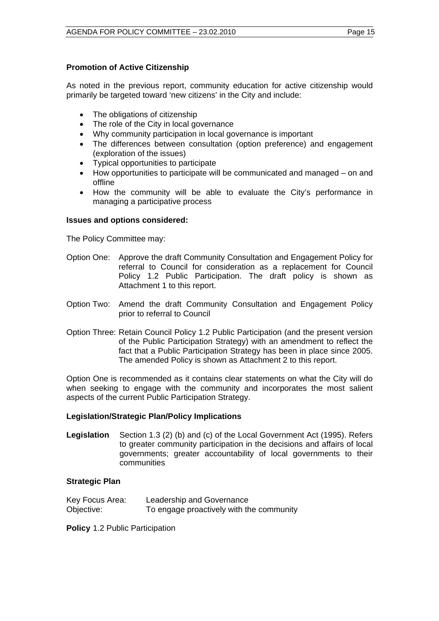#### **Promotion of Active Citizenship**

As noted in the previous report, community education for active citizenship would primarily be targeted toward 'new citizens' in the City and include:

- The obligations of citizenship
- The role of the City in local governance
- Why community participation in local governance is important
- The differences between consultation (option preference) and engagement (exploration of the issues)
- Typical opportunities to participate
- How opportunities to participate will be communicated and managed on and offline
- How the community will be able to evaluate the City's performance in managing a participative process

#### **Issues and options considered:**

The Policy Committee may:

- Option One: Approve the draft Community Consultation and Engagement Policy for referral to Council for consideration as a replacement for Council Policy 1.2 Public Participation. The draft policy is shown as Attachment 1 to this report.
- Option Two: Amend the draft Community Consultation and Engagement Policy prior to referral to Council
- Option Three: Retain Council Policy 1.2 Public Participation (and the present version of the Public Participation Strategy) with an amendment to reflect the fact that a Public Participation Strategy has been in place since 2005. The amended Policy is shown as Attachment 2 to this report.

Option One is recommended as it contains clear statements on what the City will do when seeking to engage with the community and incorporates the most salient aspects of the current Public Participation Strategy.

#### **Legislation/Strategic Plan/Policy Implications**

**Legislation** Section 1.3 (2) (b) and (c) of the Local Government Act (1995). Refers to greater community participation in the decisions and affairs of local governments; greater accountability of local governments to their communities

#### **Strategic Plan**

| Key Focus Area: | Leadership and Governance                |
|-----------------|------------------------------------------|
| Objective:      | To engage proactively with the community |

**Policy** 1.2 Public Participation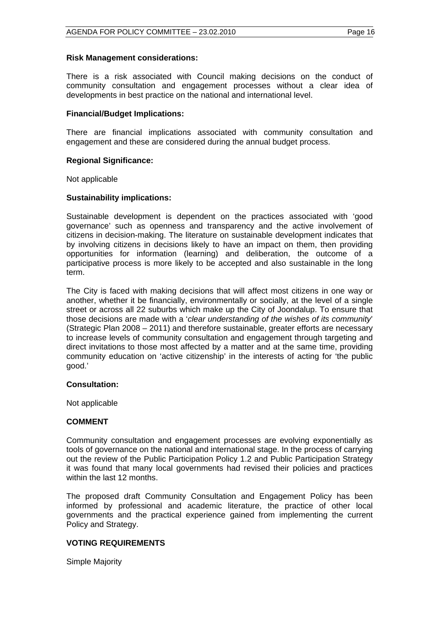#### **Risk Management considerations:**

There is a risk associated with Council making decisions on the conduct of community consultation and engagement processes without a clear idea of developments in best practice on the national and international level.

#### **Financial/Budget Implications:**

There are financial implications associated with community consultation and engagement and these are considered during the annual budget process.

#### **Regional Significance:**

Not applicable

#### **Sustainability implications:**

Sustainable development is dependent on the practices associated with 'good governance' such as openness and transparency and the active involvement of citizens in decision-making. The literature on sustainable development indicates that by involving citizens in decisions likely to have an impact on them, then providing opportunities for information (learning) and deliberation, the outcome of a participative process is more likely to be accepted and also sustainable in the long term.

The City is faced with making decisions that will affect most citizens in one way or another, whether it be financially, environmentally or socially, at the level of a single street or across all 22 suburbs which make up the City of Joondalup. To ensure that those decisions are made with a '*clear understanding of the wishes of its community*' (Strategic Plan 2008 – 2011) and therefore sustainable, greater efforts are necessary to increase levels of community consultation and engagement through targeting and direct invitations to those most affected by a matter and at the same time, providing community education on 'active citizenship' in the interests of acting for 'the public good.'

#### **Consultation:**

Not applicable

#### **COMMENT**

Community consultation and engagement processes are evolving exponentially as tools of governance on the national and international stage. In the process of carrying out the review of the Public Participation Policy 1.2 and Public Participation Strategy it was found that many local governments had revised their policies and practices within the last 12 months.

The proposed draft Community Consultation and Engagement Policy has been informed by professional and academic literature, the practice of other local governments and the practical experience gained from implementing the current Policy and Strategy.

#### **VOTING REQUIREMENTS**

Simple Majority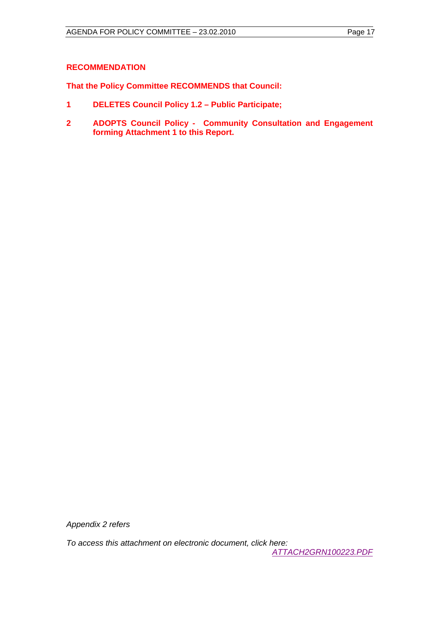#### **RECOMMENDATION**

**That the Policy Committee RECOMMENDS that Council:** 

- **1 DELETES Council Policy 1.2 Public Participate;**
- **2 ADOPTS Council Policy Community Consultation and Engagement forming Attachment 1 to this Report.**

*Appendix 2 refers* 

*To access this attachment on electronic document, click here:* 

 *<ATTACH2GRN100223.PDF>*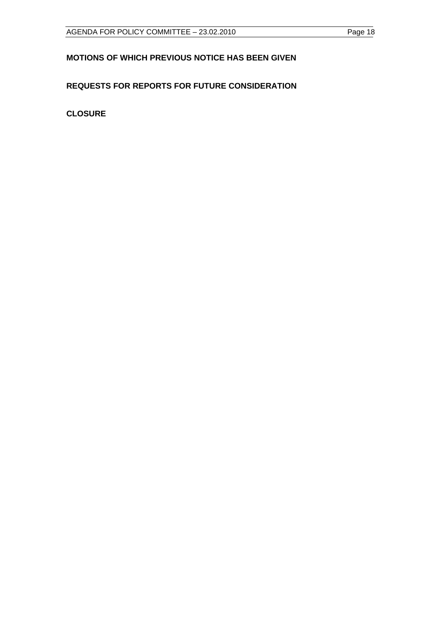## <span id="page-17-0"></span>**MOTIONS OF WHICH PREVIOUS NOTICE HAS BEEN GIVEN**

## **REQUESTS FOR REPORTS FOR FUTURE CONSIDERATION**

**CLOSURE**